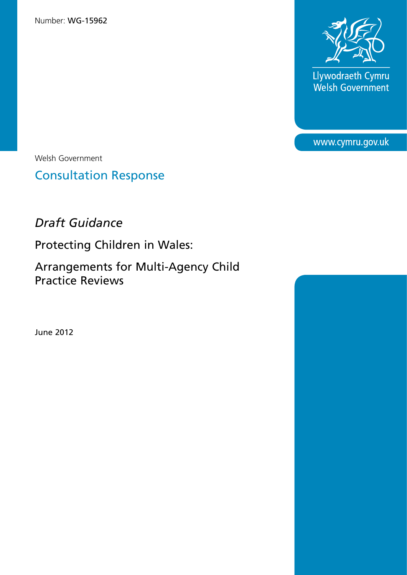Number: WG-15962



Llywodraeth Cymru<br>Welsh Government

www.cymru.gov.uk

Welsh Government

Consultation Response

# *Draft Guidance*

Protecting Children in Wales:

Arrangements for Multi-Agency Child Practice Reviews

June 2012

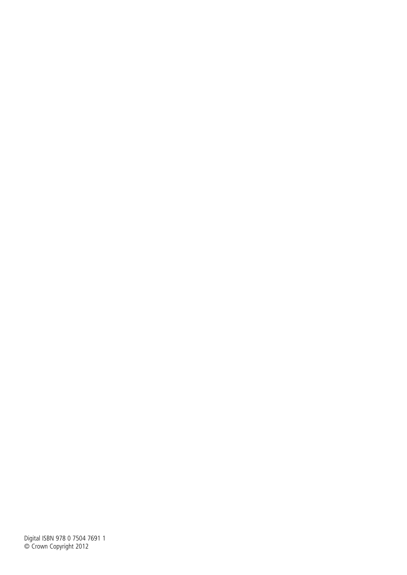Digital ISBN 978 0 7504 7691 1 © Crown Copyright 2012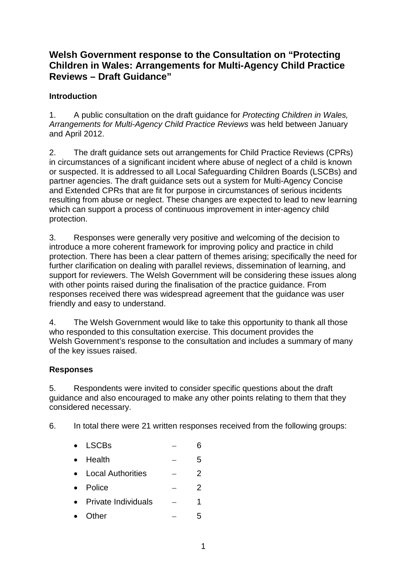# **Welsh Government response to the Consultation on "Protecting Children in Wales: Arrangements for Multi-Agency Child Practice Reviews – Draft Guidance"**

## **Introduction**

1. A public consultation on the draft guidance for *Protecting Children in Wales, Arrangements for Multi-Agency Child Practice Reviews* was held between January and April 2012.

2. The draft guidance sets out arrangements for Child Practice Reviews (CPRs) in circumstances of a significant incident where abuse of neglect of a child is known or suspected. It is addressed to all Local Safeguarding Children Boards (LSCBs) and partner agencies. The draft guidance sets out a system for Multi-Agency Concise and Extended CPRs that are fit for purpose in circumstances of serious incidents resulting from abuse or neglect. These changes are expected to lead to new learning which can support a process of continuous improvement in inter-agency child protection.

3. Responses were generally very positive and welcoming of the decision to introduce a more coherent framework for improving policy and practice in child protection. There has been a clear pattern of themes arising; specifically the need for further clarification on dealing with parallel reviews, dissemination of learning, and support for reviewers. The Welsh Government will be considering these issues along with other points raised during the finalisation of the practice guidance. From responses received there was widespread agreement that the guidance was user friendly and easy to understand.

4. The Welsh Government would like to take this opportunity to thank all those who responded to this consultation exercise. This document provides the Welsh Government's response to the consultation and includes a summary of many of the key issues raised.

## **Responses**

5. Respondents were invited to consider specific questions about the draft guidance and also encouraged to make any other points relating to them that they considered necessary.

6. In total there were 21 written responses received from the following groups:

## $\bullet$  LSCBs  $-$  6

- Health  $-$  5
- Local Authorities 2
- Police 2
- Private Individuals  $\overline{a}$  1
- Other  $-5$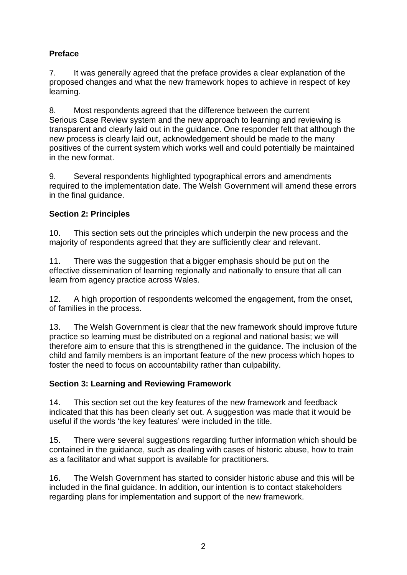## **Preface**

7. It was generally agreed that the preface provides a clear explanation of the proposed changes and what the new framework hopes to achieve in respect of key learning.

8. Most respondents agreed that the difference between the current Serious Case Review system and the new approach to learning and reviewing is transparent and clearly laid out in the guidance. One responder felt that although the new process is clearly laid out, acknowledgement should be made to the many positives of the current system which works well and could potentially be maintained in the new format.

9. Several respondents highlighted typographical errors and amendments required to the implementation date. The Welsh Government will amend these errors in the final guidance.

## **Section 2: Principles**

10. This section sets out the principles which underpin the new process and the majority of respondents agreed that they are sufficiently clear and relevant.

11. There was the suggestion that a bigger emphasis should be put on the effective dissemination of learning regionally and nationally to ensure that all can learn from agency practice across Wales.

12. A high proportion of respondents welcomed the engagement, from the onset, of families in the process.

13. The Welsh Government is clear that the new framework should improve future practice so learning must be distributed on a regional and national basis; we will therefore aim to ensure that this is strengthened in the guidance. The inclusion of the child and family members is an important feature of the new process which hopes to foster the need to focus on accountability rather than culpability.

## **Section 3: Learning and Reviewing Framework**

14. This section set out the key features of the new framework and feedback indicated that this has been clearly set out. A suggestion was made that it would be useful if the words 'the key features' were included in the title.

15. There were several suggestions regarding further information which should be contained in the guidance, such as dealing with cases of historic abuse, how to train as a facilitator and what support is available for practitioners.

16. The Welsh Government has started to consider historic abuse and this will be included in the final guidance. In addition, our intention is to contact stakeholders regarding plans for implementation and support of the new framework.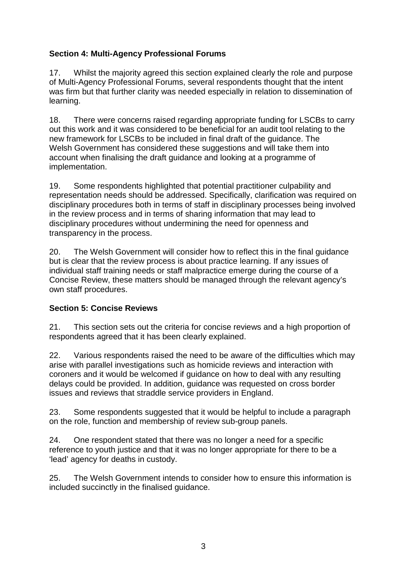## **Section 4: Multi-Agency Professional Forums**

17. Whilst the majority agreed this section explained clearly the role and purpose of Multi-Agency Professional Forums, several respondents thought that the intent was firm but that further clarity was needed especially in relation to dissemination of learning.

18. There were concerns raised regarding appropriate funding for LSCBs to carry out this work and it was considered to be beneficial for an audit tool relating to the new framework for LSCBs to be included in final draft of the guidance. The Welsh Government has considered these suggestions and will take them into account when finalising the draft guidance and looking at a programme of implementation.

19. Some respondents highlighted that potential practitioner culpability and representation needs should be addressed. Specifically, clarification was required on disciplinary procedures both in terms of staff in disciplinary processes being involved in the review process and in terms of sharing information that may lead to disciplinary procedures without undermining the need for openness and transparency in the process.

20. The Welsh Government will consider how to reflect this in the final guidance but is clear that the review process is about practice learning. If any issues of individual staff training needs or staff malpractice emerge during the course of a Concise Review, these matters should be managed through the relevant agency's own staff procedures.

## **Section 5: Concise Reviews**

21. This section sets out the criteria for concise reviews and a high proportion of respondents agreed that it has been clearly explained.

22. Various respondents raised the need to be aware of the difficulties which may arise with parallel investigations such as homicide reviews and interaction with coroners and it would be welcomed if guidance on how to deal with any resulting delays could be provided. In addition, guidance was requested on cross border issues and reviews that straddle service providers in England.

23. Some respondents suggested that it would be helpful to include a paragraph on the role, function and membership of review sub-group panels.

24. One respondent stated that there was no longer a need for a specific reference to youth justice and that it was no longer appropriate for there to be a 'lead' agency for deaths in custody.

25. The Welsh Government intends to consider how to ensure this information is included succinctly in the finalised guidance.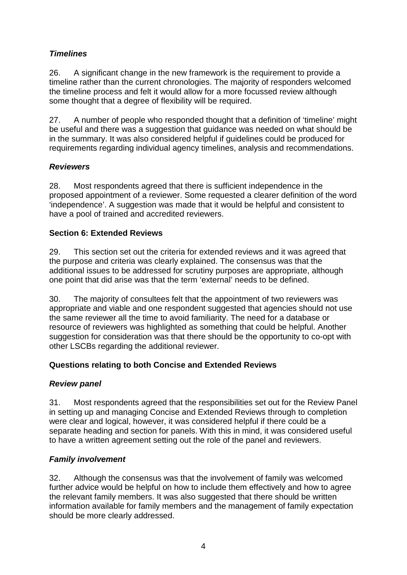## *Timelines*

26. A significant change in the new framework is the requirement to provide a timeline rather than the current chronologies. The majority of responders welcomed the timeline process and felt it would allow for a more focussed review although some thought that a degree of flexibility will be required.

27. A number of people who responded thought that a definition of 'timeline' might be useful and there was a suggestion that guidance was needed on what should be in the summary. It was also considered helpful if guidelines could be produced for requirements regarding individual agency timelines, analysis and recommendations.

## *Reviewers*

28. Most respondents agreed that there is sufficient independence in the proposed appointment of a reviewer. Some requested a clearer definition of the word 'independence'. A suggestion was made that it would be helpful and consistent to have a pool of trained and accredited reviewers.

## **Section 6: Extended Reviews**

29. This section set out the criteria for extended reviews and it was agreed that the purpose and criteria was clearly explained. The consensus was that the additional issues to be addressed for scrutiny purposes are appropriate, although one point that did arise was that the term 'external' needs to be defined.

30. The majority of consultees felt that the appointment of two reviewers was appropriate and viable and one respondent suggested that agencies should not use the same reviewer all the time to avoid familiarity. The need for a database or resource of reviewers was highlighted as something that could be helpful. Another suggestion for consideration was that there should be the opportunity to co-opt with other LSCBs regarding the additional reviewer.

## **Questions relating to both Concise and Extended Reviews**

## *Review panel*

31. Most respondents agreed that the responsibilities set out for the Review Panel in setting up and managing Concise and Extended Reviews through to completion were clear and logical, however, it was considered helpful if there could be a separate heading and section for panels. With this in mind, it was considered useful to have a written agreement setting out the role of the panel and reviewers.

## *Family involvement*

32. Although the consensus was that the involvement of family was welcomed further advice would be helpful on how to include them effectively and how to agree the relevant family members. It was also suggested that there should be written information available for family members and the management of family expectation should be more clearly addressed.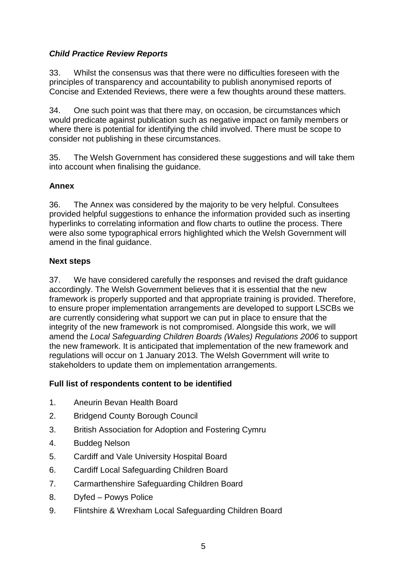## *Child Practice Review Reports*

33. Whilst the consensus was that there were no difficulties foreseen with the principles of transparency and accountability to publish anonymised reports of Concise and Extended Reviews, there were a few thoughts around these matters.

34. One such point was that there may, on occasion, be circumstances which would predicate against publication such as negative impact on family members or where there is potential for identifying the child involved. There must be scope to consider not publishing in these circumstances.

35. The Welsh Government has considered these suggestions and will take them into account when finalising the guidance.

## **Annex**

36. The Annex was considered by the majority to be very helpful. Consultees provided helpful suggestions to enhance the information provided such as inserting hyperlinks to correlating information and flow charts to outline the process. There were also some typographical errors highlighted which the Welsh Government will amend in the final guidance.

## **Next steps**

37. We have considered carefully the responses and revised the draft guidance accordingly. The Welsh Government believes that it is essential that the new framework is properly supported and that appropriate training is provided. Therefore, to ensure proper implementation arrangements are developed to support LSCBs we are currently considering what support we can put in place to ensure that the integrity of the new framework is not compromised. Alongside this work, we will amend the *Local Safeguarding Children Boards (Wales) Regulations 2006* to support the new framework. It is anticipated that implementation of the new framework and regulations will occur on 1 January 2013. The Welsh Government will write to stakeholders to update them on implementation arrangements.

## **Full list of respondents content to be identified**

- 1. Aneurin Bevan Health Board
- 2. Bridgend County Borough Council
- 3. British Association for Adoption and Fostering Cymru
- 4. Buddeg Nelson
- 5. Cardiff and Vale University Hospital Board
- 6. Cardiff Local Safeguarding Children Board
- 7. Carmarthenshire Safeguarding Children Board
- 8. Dyfed Powys Police
- 9. Flintshire & Wrexham Local Safeguarding Children Board